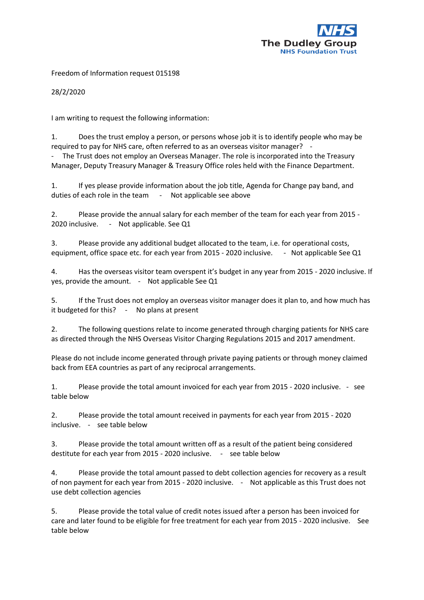

Freedom of Information request 015198

28/2/2020

I am writing to request the following information:

1. Does the trust employ a person, or persons whose job it is to identify people who may be required to pay for NHS care, often referred to as an overseas visitor manager? -

The Trust does not employ an Overseas Manager. The role is incorporated into the Treasury Manager, Deputy Treasury Manager & Treasury Office roles held with the Finance Department.

1. If yes please provide information about the job title, Agenda for Change pay band, and duties of each role in the team - Not applicable see above

2. Please provide the annual salary for each member of the team for each year from 2015 - 2020 inclusive. - Not applicable. See Q1

3. Please provide any additional budget allocated to the team, i.e. for operational costs, equipment, office space etc. for each year from 2015 - 2020 inclusive. - Not applicable See Q1

4. Has the overseas visitor team overspent it's budget in any year from 2015 - 2020 inclusive. If yes, provide the amount. - Not applicable See Q1

5. If the Trust does not employ an overseas visitor manager does it plan to, and how much has it budgeted for this? - No plans at present

2. The following questions relate to income generated through charging patients for NHS care as directed through the NHS Overseas Visitor Charging Regulations 2015 and 2017 amendment.

Please do not include income generated through private paying patients or through money claimed back from EEA countries as part of any reciprocal arrangements.

1. Please provide the total amount invoiced for each year from 2015 - 2020 inclusive. - see table below

2. Please provide the total amount received in payments for each year from 2015 - 2020 inclusive. - see table below

3. Please provide the total amount written off as a result of the patient being considered destitute for each year from 2015 - 2020 inclusive. - see table below

4. Please provide the total amount passed to debt collection agencies for recovery as a result of non payment for each year from 2015 - 2020 inclusive. - Not applicable as this Trust does not use debt collection agencies

5. Please provide the total value of credit notes issued after a person has been invoiced for care and later found to be eligible for free treatment for each year from 2015 - 2020 inclusive. See table below